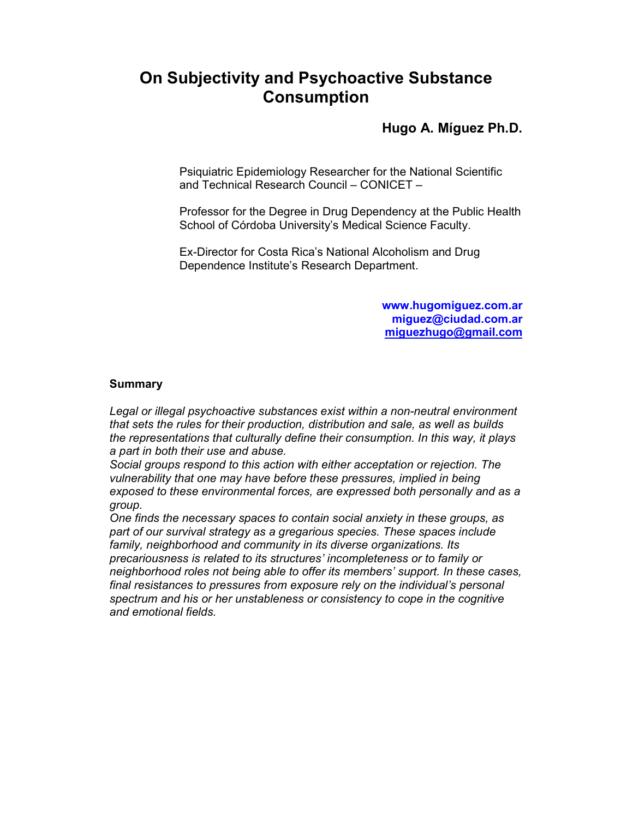# **On Subjectivity and Psychoactive Substance Consumption**

## **Hugo A. Míguez Ph.D.**

Psiquiatric Epidemiology Researcher for the National Scientific and Technical Research Council – CONICET –

Professor for the Degree in Drug Dependency at the Public Health School of Córdoba University's Medical Science Faculty.

Ex-Director for Costa Rica's National Alcoholism and Drug Dependence Institute's Research Department.

> **www.hugomiguez.com.ar miguez@ciudad.com.ar miguezhugo@gmail.com**

#### **Summary**

*Legal or illegal psychoactive substances exist within a non-neutral environment that sets the rules for their production, distribution and sale, as well as builds the representations that culturally define their consumption. In this way, it plays a part in both their use and abuse.* 

*Social groups respond to this action with either acceptation or rejection. The vulnerability that one may have before these pressures, implied in being exposed to these environmental forces, are expressed both personally and as a group.* 

*One finds the necessary spaces to contain social anxiety in these groups, as part of our survival strategy as a gregarious species. These spaces include family, neighborhood and community in its diverse organizations. Its precariousness is related to its structures' incompleteness or to family or neighborhood roles not being able to offer its members' support. In these cases, final resistances to pressures from exposure rely on the individual's personal spectrum and his or her unstableness or consistency to cope in the cognitive and emotional fields.*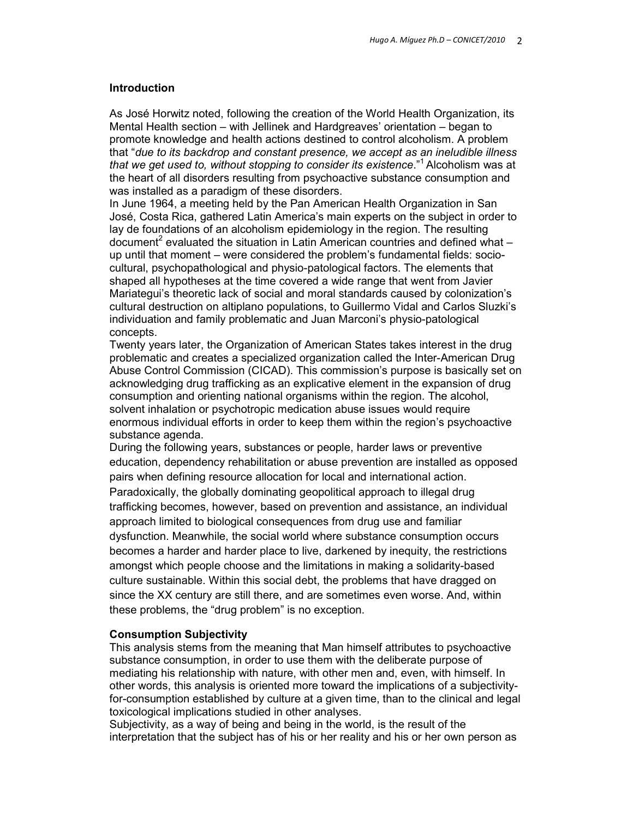## **Introduction**

As José Horwitz noted, following the creation of the World Health Organization, its Mental Health section – with Jellinek and Hardgreaves' orientation – began to promote knowledge and health actions destined to control alcoholism. A problem that "*due to its backdrop and constant presence, we accept as an ineludible illness that we get used to, without stopping to consider its existence.*"<sup>1</sup> Alcoholism was at the heart of all disorders resulting from psychoactive substance consumption and was installed as a paradigm of these disorders.

In June 1964, a meeting held by the Pan American Health Organization in San José, Costa Rica, gathered Latin America's main experts on the subject in order to lay de foundations of an alcoholism epidemiology in the region. The resulting document<sup>2</sup> evaluated the situation in Latin American countries and defined what  $$ up until that moment – were considered the problem's fundamental fields: sociocultural, psychopathological and physio-patological factors. The elements that shaped all hypotheses at the time covered a wide range that went from Javier Mariategui's theoretic lack of social and moral standards caused by colonization's cultural destruction on altiplano populations, to Guillermo Vidal and Carlos Sluzki's individuation and family problematic and Juan Marconi's physio-patological concepts.

Twenty years later, the Organization of American States takes interest in the drug problematic and creates a specialized organization called the Inter-American Drug Abuse Control Commission (CICAD). This commission's purpose is basically set on acknowledging drug trafficking as an explicative element in the expansion of drug consumption and orienting national organisms within the region. The alcohol, solvent inhalation or psychotropic medication abuse issues would require enormous individual efforts in order to keep them within the region's psychoactive substance agenda.

During the following years, substances or people, harder laws or preventive education, dependency rehabilitation or abuse prevention are installed as opposed pairs when defining resource allocation for local and international action. Paradoxically, the globally dominating geopolitical approach to illegal drug trafficking becomes, however, based on prevention and assistance, an individual approach limited to biological consequences from drug use and familiar dysfunction. Meanwhile, the social world where substance consumption occurs becomes a harder and harder place to live, darkened by inequity, the restrictions amongst which people choose and the limitations in making a solidarity-based culture sustainable. Within this social debt, the problems that have dragged on since the XX century are still there, and are sometimes even worse. And, within these problems, the "drug problem" is no exception.

## **Consumption Subjectivity**

This analysis stems from the meaning that Man himself attributes to psychoactive substance consumption, in order to use them with the deliberate purpose of mediating his relationship with nature, with other men and, even, with himself. In other words, this analysis is oriented more toward the implications of a subjectivityfor-consumption established by culture at a given time, than to the clinical and legal toxicological implications studied in other analyses.

Subjectivity, as a way of being and being in the world, is the result of the interpretation that the subject has of his or her reality and his or her own person as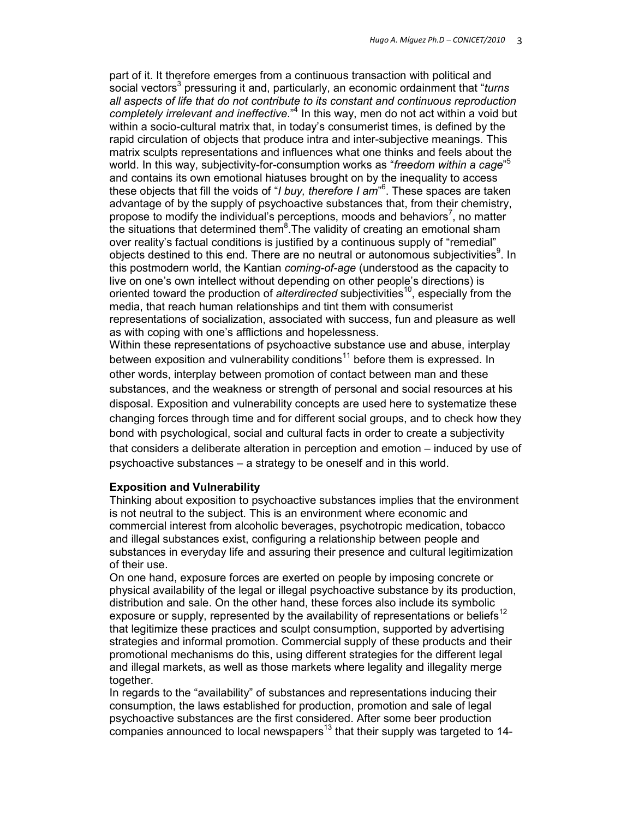part of it. It therefore emerges from a continuous transaction with political and social vectors<sup>3</sup> pressuring it and, particularly, an economic ordainment that "turns *all aspects of life that do not contribute to its constant and continuous reproduction*  completely irrelevant and ineffective."<sup>4</sup> In this way, men do not act within a void but within a socio-cultural matrix that, in today's consumerist times, is defined by the rapid circulation of objects that produce intra and inter-subjective meanings. This matrix sculpts representations and influences what one thinks and feels about the world. In this way, subjectivity-for-consumption works as "*freedom within a cage*" 5 and contains its own emotional hiatuses brought on by the inequality to access these objects that fill the voids of "*I buy, therefore I am*" 6 . These spaces are taken advantage of by the supply of psychoactive substances that, from their chemistry, propose to modify the individual's perceptions, moods and behaviors<sup>7</sup>, no matter the situations that determined them ${}^{8}$ . The validity of creating an emotional sham over reality's factual conditions is justified by a continuous supply of "remedial" objects destined to this end. There are no neutral or autonomous subjectivities<sup>9</sup>. In this postmodern world, the Kantian *coming-of-age* (understood as the capacity to live on one's own intellect without depending on other people's directions) is oriented toward the production of *alterdirected* subjectivities<sup>10</sup>, especially from the media, that reach human relationships and tint them with consumerist representations of socialization, associated with success, fun and pleasure as well as with coping with one's afflictions and hopelessness.

Within these representations of psychoactive substance use and abuse, interplay between exposition and vulnerability conditions<sup>11</sup> before them is expressed. In other words, interplay between promotion of contact between man and these substances, and the weakness or strength of personal and social resources at his disposal. Exposition and vulnerability concepts are used here to systematize these changing forces through time and for different social groups, and to check how they bond with psychological, social and cultural facts in order to create a subjectivity that considers a deliberate alteration in perception and emotion – induced by use of psychoactive substances – a strategy to be oneself and in this world.

## **Exposition and Vulnerability**

Thinking about exposition to psychoactive substances implies that the environment is not neutral to the subject. This is an environment where economic and commercial interest from alcoholic beverages, psychotropic medication, tobacco and illegal substances exist, configuring a relationship between people and substances in everyday life and assuring their presence and cultural legitimization of their use.

On one hand, exposure forces are exerted on people by imposing concrete or physical availability of the legal or illegal psychoactive substance by its production, distribution and sale. On the other hand, these forces also include its symbolic exposure or supply, represented by the availability of representations or beliefs<sup>12</sup> that legitimize these practices and sculpt consumption, supported by advertising strategies and informal promotion. Commercial supply of these products and their promotional mechanisms do this, using different strategies for the different legal and illegal markets, as well as those markets where legality and illegality merge together.

In regards to the "availability" of substances and representations inducing their consumption, the laws established for production, promotion and sale of legal psychoactive substances are the first considered. After some beer production  $\sim$  companies announced to local newspapers<sup>13</sup> that their supply was targeted to 14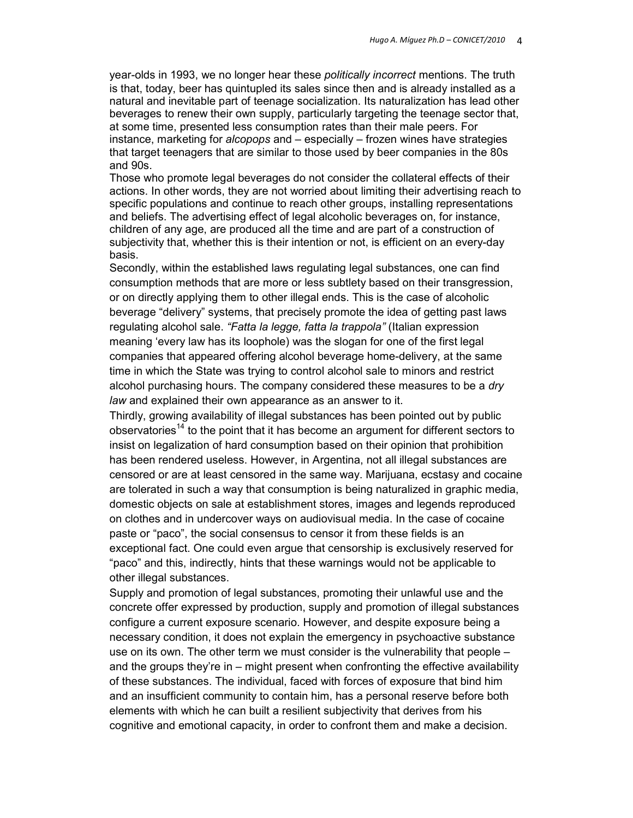year-olds in 1993, we no longer hear these *politically incorrect* mentions. The truth is that, today, beer has quintupled its sales since then and is already installed as a natural and inevitable part of teenage socialization. Its naturalization has lead other beverages to renew their own supply, particularly targeting the teenage sector that, at some time, presented less consumption rates than their male peers. For instance, marketing for *alcopops* and – especially – frozen wines have strategies that target teenagers that are similar to those used by beer companies in the 80s and 90s.

Those who promote legal beverages do not consider the collateral effects of their actions. In other words, they are not worried about limiting their advertising reach to specific populations and continue to reach other groups, installing representations and beliefs. The advertising effect of legal alcoholic beverages on, for instance, children of any age, are produced all the time and are part of a construction of subjectivity that, whether this is their intention or not, is efficient on an every-day basis.

Secondly, within the established laws regulating legal substances, one can find consumption methods that are more or less subtlety based on their transgression, or on directly applying them to other illegal ends. This is the case of alcoholic beverage "delivery" systems, that precisely promote the idea of getting past laws regulating alcohol sale. *"Fatta la legge, fatta la trappola"* (Italian expression meaning 'every law has its loophole) was the slogan for one of the first legal companies that appeared offering alcohol beverage home-delivery, at the same time in which the State was trying to control alcohol sale to minors and restrict alcohol purchasing hours. The company considered these measures to be a *dry law* and explained their own appearance as an answer to it.

Thirdly, growing availability of illegal substances has been pointed out by public observatories<sup>14</sup> to the point that it has become an argument for different sectors to insist on legalization of hard consumption based on their opinion that prohibition has been rendered useless. However, in Argentina, not all illegal substances are censored or are at least censored in the same way. Marijuana, ecstasy and cocaine are tolerated in such a way that consumption is being naturalized in graphic media, domestic objects on sale at establishment stores, images and legends reproduced on clothes and in undercover ways on audiovisual media. In the case of cocaine paste or "paco", the social consensus to censor it from these fields is an exceptional fact. One could even argue that censorship is exclusively reserved for "paco" and this, indirectly, hints that these warnings would not be applicable to other illegal substances.

Supply and promotion of legal substances, promoting their unlawful use and the concrete offer expressed by production, supply and promotion of illegal substances configure a current exposure scenario. However, and despite exposure being a necessary condition, it does not explain the emergency in psychoactive substance use on its own. The other term we must consider is the vulnerability that people – and the groups they're in – might present when confronting the effective availability of these substances. The individual, faced with forces of exposure that bind him and an insufficient community to contain him, has a personal reserve before both elements with which he can built a resilient subjectivity that derives from his cognitive and emotional capacity, in order to confront them and make a decision.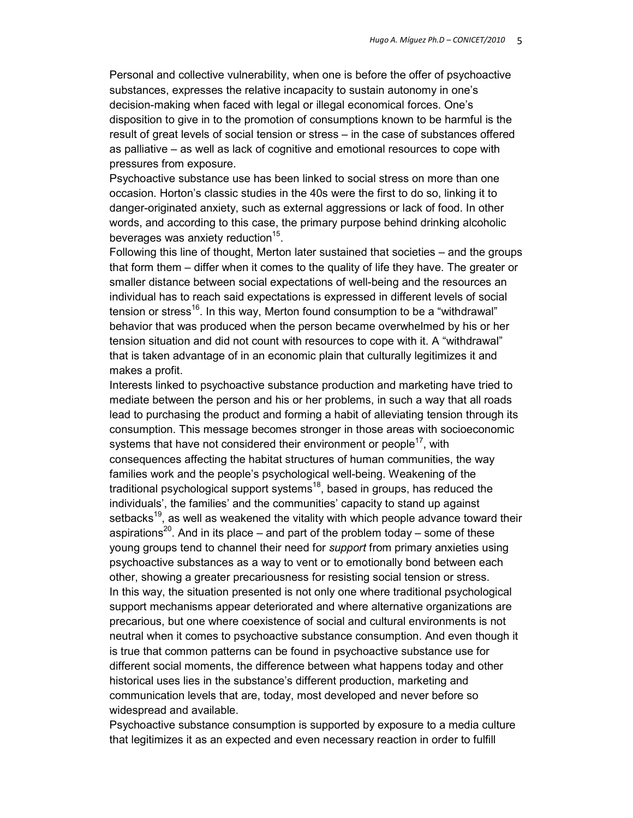Personal and collective vulnerability, when one is before the offer of psychoactive substances, expresses the relative incapacity to sustain autonomy in one's decision-making when faced with legal or illegal economical forces. One's disposition to give in to the promotion of consumptions known to be harmful is the result of great levels of social tension or stress – in the case of substances offered as palliative – as well as lack of cognitive and emotional resources to cope with pressures from exposure.

Psychoactive substance use has been linked to social stress on more than one occasion. Horton's classic studies in the 40s were the first to do so, linking it to danger-originated anxiety, such as external aggressions or lack of food. In other words, and according to this case, the primary purpose behind drinking alcoholic beverages was anxiety reduction<sup>15</sup>.

Following this line of thought, Merton later sustained that societies – and the groups that form them – differ when it comes to the quality of life they have. The greater or smaller distance between social expectations of well-being and the resources an individual has to reach said expectations is expressed in different levels of social tension or stress<sup>16</sup>. In this way, Merton found consumption to be a "withdrawal" behavior that was produced when the person became overwhelmed by his or her tension situation and did not count with resources to cope with it. A "withdrawal" that is taken advantage of in an economic plain that culturally legitimizes it and makes a profit.

Interests linked to psychoactive substance production and marketing have tried to mediate between the person and his or her problems, in such a way that all roads lead to purchasing the product and forming a habit of alleviating tension through its consumption. This message becomes stronger in those areas with socioeconomic systems that have not considered their environment or people<sup>17</sup>, with consequences affecting the habitat structures of human communities, the way families work and the people's psychological well-being. Weakening of the traditional psychological support systems<sup>18</sup>, based in groups, has reduced the individuals', the families' and the communities' capacity to stand up against setbacks<sup>19</sup>, as well as weakened the vitality with which people advance toward their aspirations<sup>20</sup>. And in its place – and part of the problem today – some of these young groups tend to channel their need for *support* from primary anxieties using psychoactive substances as a way to vent or to emotionally bond between each other, showing a greater precariousness for resisting social tension or stress. In this way, the situation presented is not only one where traditional psychological support mechanisms appear deteriorated and where alternative organizations are precarious, but one where coexistence of social and cultural environments is not neutral when it comes to psychoactive substance consumption. And even though it is true that common patterns can be found in psychoactive substance use for different social moments, the difference between what happens today and other historical uses lies in the substance's different production, marketing and communication levels that are, today, most developed and never before so widespread and available.

Psychoactive substance consumption is supported by exposure to a media culture that legitimizes it as an expected and even necessary reaction in order to fulfill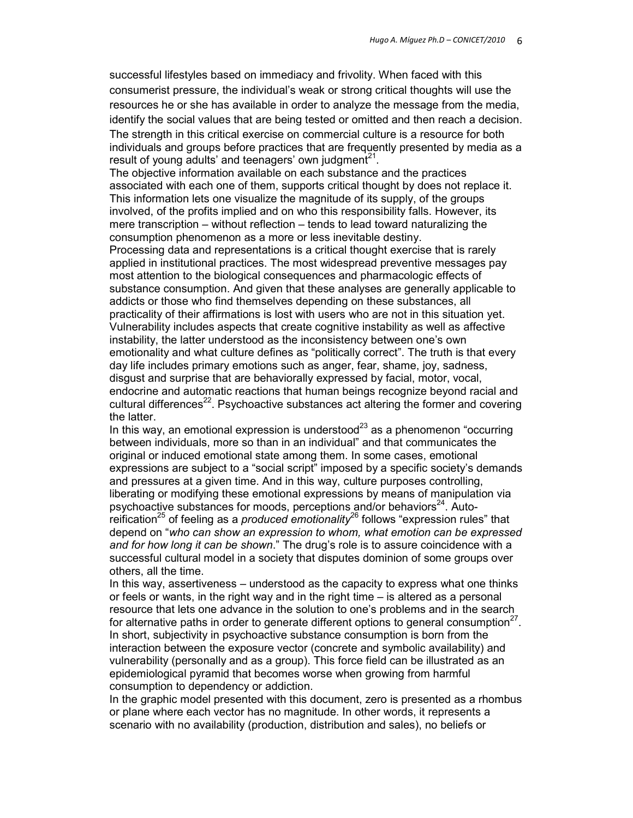successful lifestyles based on immediacy and frivolity. When faced with this consumerist pressure, the individual's weak or strong critical thoughts will use the resources he or she has available in order to analyze the message from the media, identify the social values that are being tested or omitted and then reach a decision. The strength in this critical exercise on commercial culture is a resource for both individuals and groups before practices that are frequently presented by media as a result of young adults' and teenagers' own judgment $21$ .

The objective information available on each substance and the practices associated with each one of them, supports critical thought by does not replace it. This information lets one visualize the magnitude of its supply, of the groups involved, of the profits implied and on who this responsibility falls. However, its mere transcription – without reflection – tends to lead toward naturalizing the consumption phenomenon as a more or less inevitable destiny.

Processing data and representations is a critical thought exercise that is rarely applied in institutional practices. The most widespread preventive messages pay most attention to the biological consequences and pharmacologic effects of substance consumption. And given that these analyses are generally applicable to addicts or those who find themselves depending on these substances, all practicality of their affirmations is lost with users who are not in this situation yet. Vulnerability includes aspects that create cognitive instability as well as affective instability, the latter understood as the inconsistency between one's own emotionality and what culture defines as "politically correct". The truth is that every day life includes primary emotions such as anger, fear, shame, joy, sadness, disgust and surprise that are behaviorally expressed by facial, motor, vocal, endocrine and automatic reactions that human beings recognize beyond racial and cultural differences<sup>22</sup>. Psychoactive substances act altering the former and covering the latter.

In this way, an emotional expression is understood<sup>23</sup> as a phenomenon "occurring between individuals, more so than in an individual" and that communicates the original or induced emotional state among them. In some cases, emotional expressions are subject to a "social script" imposed by a specific society's demands and pressures at a given time. And in this way, culture purposes controlling, liberating or modifying these emotional expressions by means of manipulation via psychoactive substances for moods, perceptions and/or behaviors $24$ . Autoreification<sup>25</sup> of feeling as a *produced emotionality*<sup>26</sup> follows "expression rules" that depend on "*who can show an expression to whom, what emotion can be expressed and for how long it can be shown*." The drug's role is to assure coincidence with a successful cultural model in a society that disputes dominion of some groups over others, all the time.

In this way, assertiveness – understood as the capacity to express what one thinks or feels or wants, in the right way and in the right time – is altered as a personal resource that lets one advance in the solution to one's problems and in the search for alternative paths in order to generate different options to general consumption<sup>27</sup>. In short, subjectivity in psychoactive substance consumption is born from the interaction between the exposure vector (concrete and symbolic availability) and vulnerability (personally and as a group). This force field can be illustrated as an epidemiological pyramid that becomes worse when growing from harmful consumption to dependency or addiction.

In the graphic model presented with this document, zero is presented as a rhombus or plane where each vector has no magnitude. In other words, it represents a scenario with no availability (production, distribution and sales), no beliefs or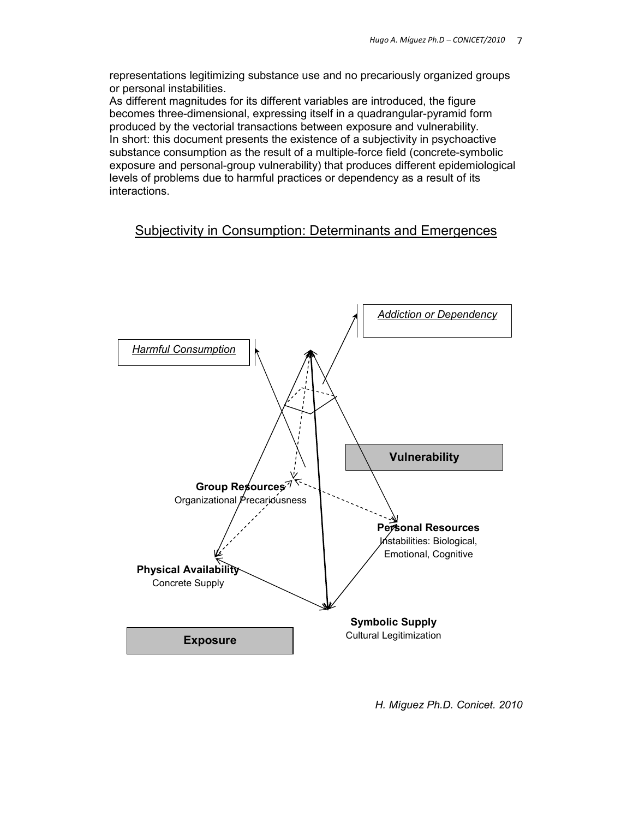representations legitimizing substance use and no precariously organized groups or personal instabilities.

As different magnitudes for its different variables are introduced, the figure becomes three-dimensional, expressing itself in a quadrangular-pyramid form produced by the vectorial transactions between exposure and vulnerability. In short: this document presents the existence of a subjectivity in psychoactive substance consumption as the result of a multiple-force field (concrete-symbolic exposure and personal-group vulnerability) that produces different epidemiological levels of problems due to harmful practices or dependency as a result of its interactions.

# Subjectivity in Consumption: Determinants and Emergences



*H. Míguez Ph.D. Conicet. 2010*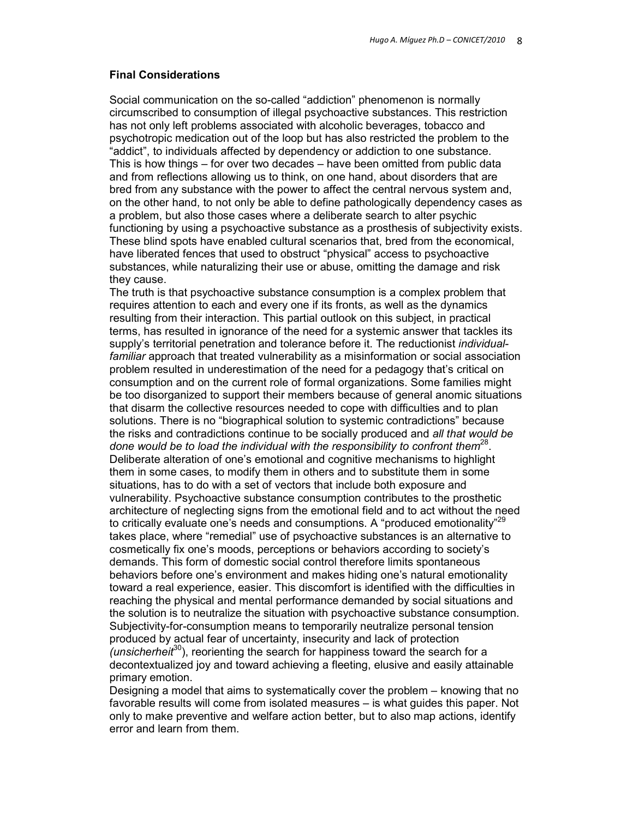#### **Final Considerations**

Social communication on the so-called "addiction" phenomenon is normally circumscribed to consumption of illegal psychoactive substances. This restriction has not only left problems associated with alcoholic beverages, tobacco and psychotropic medication out of the loop but has also restricted the problem to the "addict", to individuals affected by dependency or addiction to one substance. This is how things – for over two decades – have been omitted from public data and from reflections allowing us to think, on one hand, about disorders that are bred from any substance with the power to affect the central nervous system and, on the other hand, to not only be able to define pathologically dependency cases as a problem, but also those cases where a deliberate search to alter psychic functioning by using a psychoactive substance as a prosthesis of subjectivity exists. These blind spots have enabled cultural scenarios that, bred from the economical, have liberated fences that used to obstruct "physical" access to psychoactive substances, while naturalizing their use or abuse, omitting the damage and risk they cause.

The truth is that psychoactive substance consumption is a complex problem that requires attention to each and every one if its fronts, as well as the dynamics resulting from their interaction. This partial outlook on this subject, in practical terms, has resulted in ignorance of the need for a systemic answer that tackles its supply's territorial penetration and tolerance before it. The reductionist *individualfamiliar* approach that treated vulnerability as a misinformation or social association problem resulted in underestimation of the need for a pedagogy that's critical on consumption and on the current role of formal organizations. Some families might be too disorganized to support their members because of general anomic situations that disarm the collective resources needed to cope with difficulties and to plan solutions. There is no "biographical solution to systemic contradictions" because the risks and contradictions continue to be socially produced and *all that would be*  done would be to load the individual with the responsibility to confront them<sup>28</sup>. Deliberate alteration of one's emotional and cognitive mechanisms to highlight them in some cases, to modify them in others and to substitute them in some situations, has to do with a set of vectors that include both exposure and vulnerability. Psychoactive substance consumption contributes to the prosthetic architecture of neglecting signs from the emotional field and to act without the need to critically evaluate one's needs and consumptions. A "produced emotionality"<sup>29</sup> takes place, where "remedial" use of psychoactive substances is an alternative to cosmetically fix one's moods, perceptions or behaviors according to society's demands. This form of domestic social control therefore limits spontaneous behaviors before one's environment and makes hiding one's natural emotionality toward a real experience, easier. This discomfort is identified with the difficulties in reaching the physical and mental performance demanded by social situations and the solution is to neutralize the situation with psychoactive substance consumption. Subjectivity-for-consumption means to temporarily neutralize personal tension produced by actual fear of uncertainty, insecurity and lack of protection *(unsicherheit*<sup>30</sup>), reorienting the search for happiness toward the search for a decontextualized joy and toward achieving a fleeting, elusive and easily attainable primary emotion.

Designing a model that aims to systematically cover the problem – knowing that no favorable results will come from isolated measures – is what guides this paper. Not only to make preventive and welfare action better, but to also map actions, identify error and learn from them.